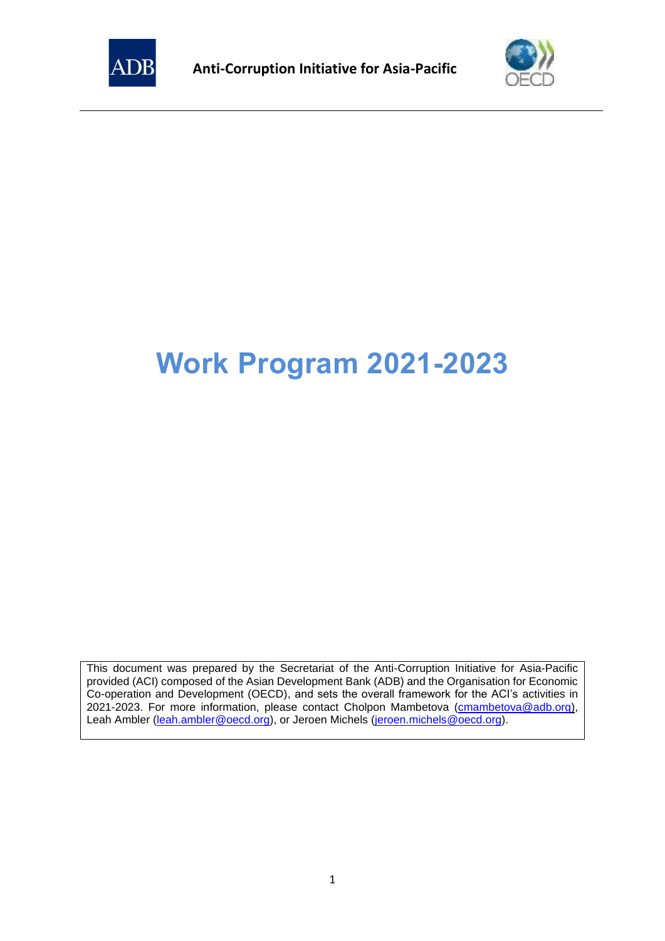



# **Work Program 2021-2023**

This document was prepared by the Secretariat of the Anti-Corruption Initiative for Asia-Pacific provided (ACI) composed of the Asian Development Bank (ADB) and the Organisation for Economic Co-operation and Development (OECD), and sets the overall framework for the ACI's activities in 2021-2023. For more information, please contact Cholpon Mambetova [\(cmambetova@adb.org\)](mailto:cmambetova@adb.org), Leah Ambler [\(leah.ambler@oecd.org\)](mailto:leah.ambler@oecd.org), or Jeroen Michels [\(jeroen.michels@oecd.org\)](mailto:jeroen.michels@oecd.org).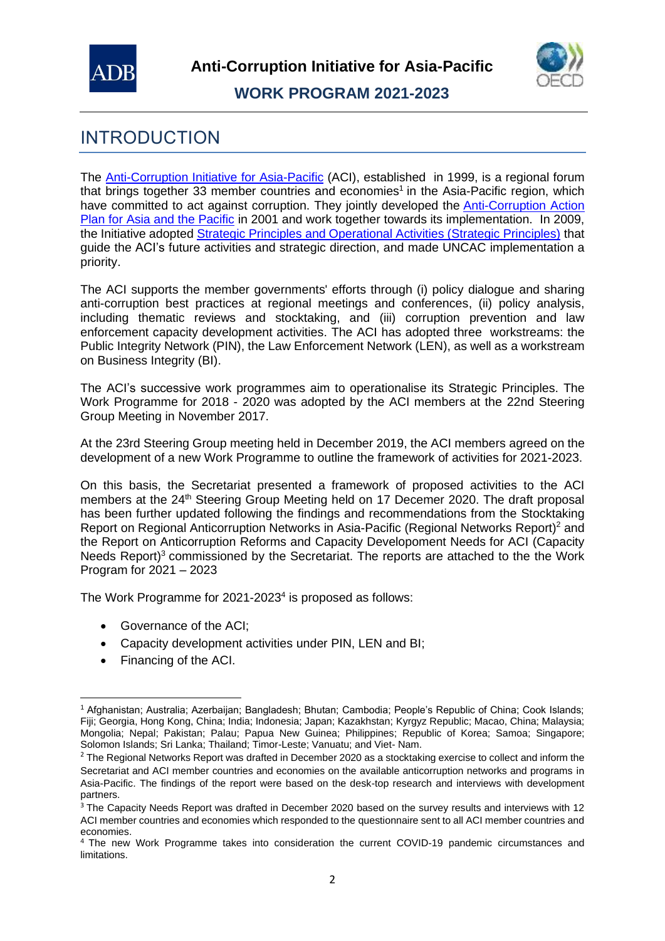



# INTRODUCTION

The [Anti-Corruption Initiative for Asia-Pacific](https://www.oecd.org/site/adboecdanti-corruptioninitiative/) (ACI), established in 1999, is a regional forum that brings together 33 member countries and economies<sup>1</sup> in the Asia-Pacific region, which have committed to act against corruption. They jointly developed the Anti-Corruption Action [Plan for Asia and the Pacific](https://www.oecd.org/site/adboecdanti-corruptioninitiative/anti-corruptionactionplanforasiaandthepacific.htm) in 2001 and work together towards its implementation. In 2009, the Initiative adopted **[Strategic Principles](https://www.oecd.org/site/adboecdanti-corruptioninitiative/StrategicPrinciplesandFutureActivitiesoftheInitiative_2013.pdf) and Operational Activities (Strategic Principles)** that guide the ACI's future activities and strategic direction, and made UNCAC implementation a priority.

The ACI supports the member governments' efforts through (i) policy dialogue and sharing anti-corruption best practices at regional meetings and conferences, (ii) policy analysis, including thematic reviews and stocktaking, and (iii) corruption prevention and law enforcement capacity development activities. The ACI has adopted three workstreams: the Public Integrity Network (PIN), the Law Enforcement Network (LEN), as well as a workstream on Business Integrity (BI).

The ACI's successive work programmes aim to operationalise its Strategic Principles. The Work Programme for 2018 - 2020 was adopted by the ACI members at the 22nd Steering Group Meeting in November 2017.

At the 23rd Steering Group meeting held in December 2019, the ACI members agreed on the development of a new Work Programme to outline the framework of activities for 2021-2023.

On this basis, the Secretariat presented a framework of proposed activities to the ACI members at the 24<sup>th</sup> Steering Group Meeting held on 17 Decemer 2020. The draft proposal has been further updated following the findings and recommendations from the Stocktaking Report on Regional Anticorruption Networks in Asia-Pacific (Regional Networks Report)<sup>2</sup> and the Report on Anticorruption Reforms and Capacity Developoment Needs for ACI (Capacity Needs Report)<sup>3</sup> commissioned by the Secretariat. The reports are attached to the the Work Program for 2021 – 2023

The Work Programme for 2021-2023<sup>4</sup> is proposed as follows:

- Governance of the ACI;
- Capacity development activities under PIN, LEN and BI;
- Financing of the ACI.

<sup>1</sup> Afghanistan; Australia; Azerbaijan; Bangladesh; Bhutan; Cambodia; People's Republic of China; Cook Islands; Fiji; Georgia, Hong Kong, China; India; Indonesia; Japan; Kazakhstan; Kyrgyz Republic; Macao, China; Malaysia; Mongolia; Nepal; Pakistan; Palau; Papua New Guinea; Philippines; Republic of Korea; Samoa; Singapore; Solomon Islands; Sri Lanka; Thailand; Timor-Leste; Vanuatu; and Viet- Nam.

<sup>&</sup>lt;sup>2</sup> The Regional Networks Report was drafted in December 2020 as a stocktaking exercise to collect and inform the Secretariat and ACI member countries and economies on the available anticorruption networks and programs in Asia-Pacific. The findings of the report were based on the desk-top research and interviews with development partners.

<sup>&</sup>lt;sup>3</sup> The Capacity Needs Report was drafted in December 2020 based on the survey results and interviews with 12 ACI member countries and economies which responded to the questionnaire sent to all ACI member countries and economies.

<sup>4</sup> The new Work Programme takes into consideration the current COVID-19 pandemic circumstances and limitations.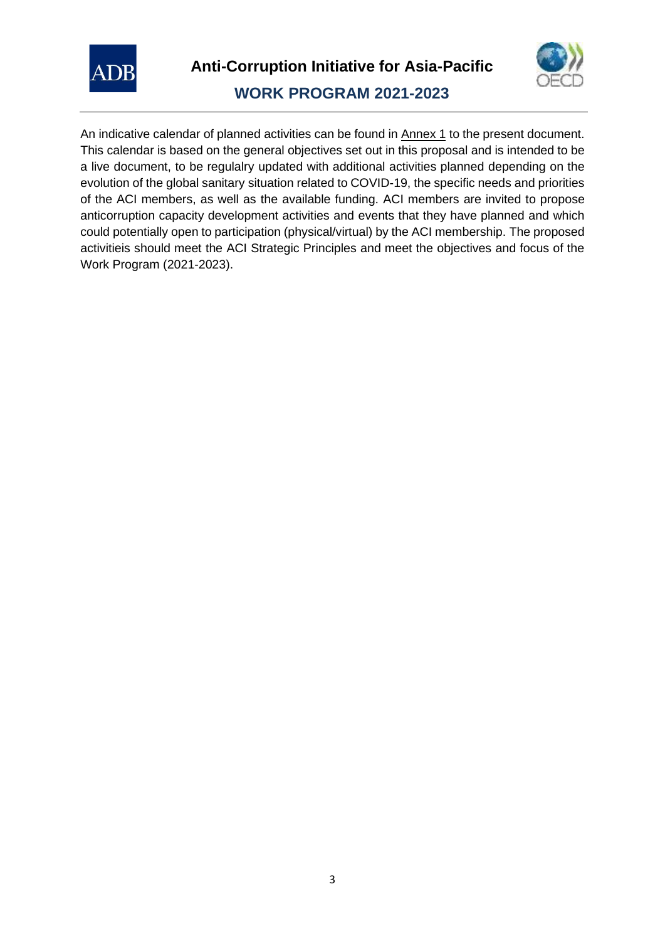



An indicative calendar of planned activities can be found in Annex 1 to the present document. This calendar is based on the general objectives set out in this proposal and is intended to be a live document, to be regulalry updated with additional activities planned depending on the evolution of the global sanitary situation related to COVID-19, the specific needs and priorities of the ACI members, as well as the available funding. ACI members are invited to propose anticorruption capacity development activities and events that they have planned and which could potentially open to participation (physical/virtual) by the ACI membership. The proposed activitieis should meet the ACI Strategic Principles and meet the objectives and focus of the Work Program (2021-2023).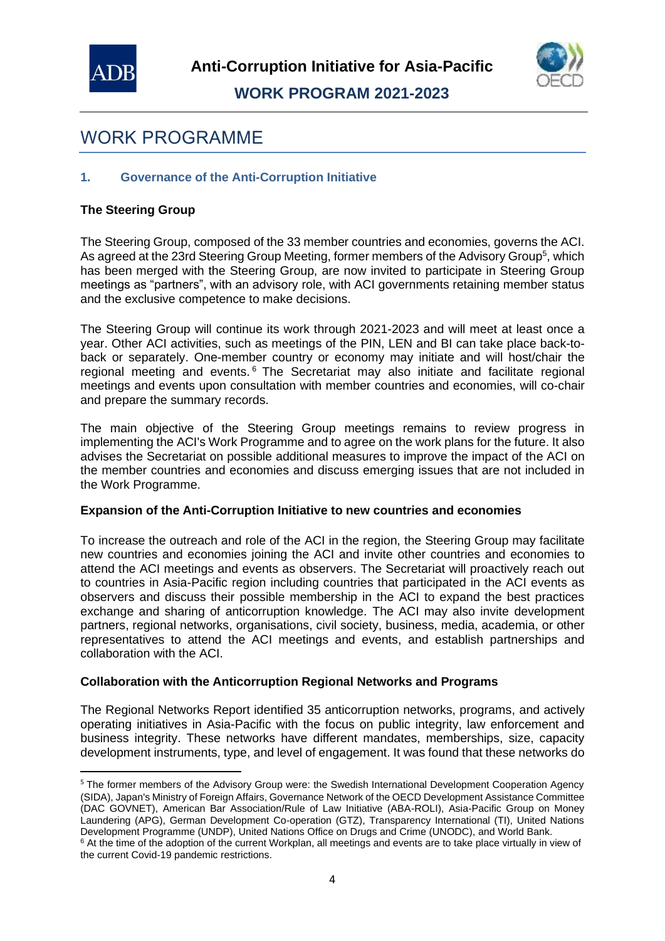



# WORK PROGRAMME

#### **1. Governance of the Anti-Corruption Initiative**

#### **The Steering Group**

The Steering Group, composed of the 33 member countries and economies, governs the ACI. As agreed at the 23rd Steering Group Meeting, former members of the Advisory Group<sup>5</sup>, which has been merged with the Steering Group, are now invited to participate in Steering Group meetings as "partners", with an advisory role, with ACI governments retaining member status and the exclusive competence to make decisions.

The Steering Group will continue its work through 2021-2023 and will meet at least once a year. Other ACI activities, such as meetings of the PIN, LEN and BI can take place back-toback or separately. One-member country or economy may initiate and will host/chair the regional meeting and events.<sup>6</sup> The Secretariat may also initiate and facilitate regional meetings and events upon consultation with member countries and economies, will co-chair and prepare the summary records.

The main objective of the Steering Group meetings remains to review progress in implementing the ACI's Work Programme and to agree on the work plans for the future. It also advises the Secretariat on possible additional measures to improve the impact of the ACI on the member countries and economies and discuss emerging issues that are not included in the Work Programme.

#### **Expansion of the Anti-Corruption Initiative to new countries and economies**

To increase the outreach and role of the ACI in the region, the Steering Group may facilitate new countries and economies joining the ACI and invite other countries and economies to attend the ACI meetings and events as observers. The Secretariat will proactively reach out to countries in Asia-Pacific region including countries that participated in the ACI events as observers and discuss their possible membership in the ACI to expand the best practices exchange and sharing of anticorruption knowledge. The ACI may also invite development partners, regional networks, organisations, civil society, business, media, academia, or other representatives to attend the ACI meetings and events, and establish partnerships and collaboration with the ACI.

#### **Collaboration with the Anticorruption Regional Networks and Programs**

The Regional Networks Report identified 35 anticorruption networks, programs, and actively operating initiatives in Asia-Pacific with the focus on public integrity, law enforcement and business integrity. These networks have different mandates, memberships, size, capacity development instruments, type, and level of engagement. It was found that these networks do

<sup>&</sup>lt;sup>5</sup> The former members of the Advisory Group were: the Swedish International Development Cooperation Agency (SIDA), Japan's Ministry of Foreign Affairs, Governance Network of the OECD Development Assistance Committee (DAC GOVNET), American Bar Association/Rule of Law Initiative (ABA-ROLI), Asia-Pacific Group on Money Laundering (APG), German Development Co-operation (GTZ), Transparency International (TI), United Nations Development Programme (UNDP), United Nations Office on Drugs and Crime (UNODC), and World Bank.

<sup>&</sup>lt;sup>6</sup> At the time of the adoption of the current Workplan, all meetings and events are to take place virtually in view of the current Covid-19 pandemic restrictions.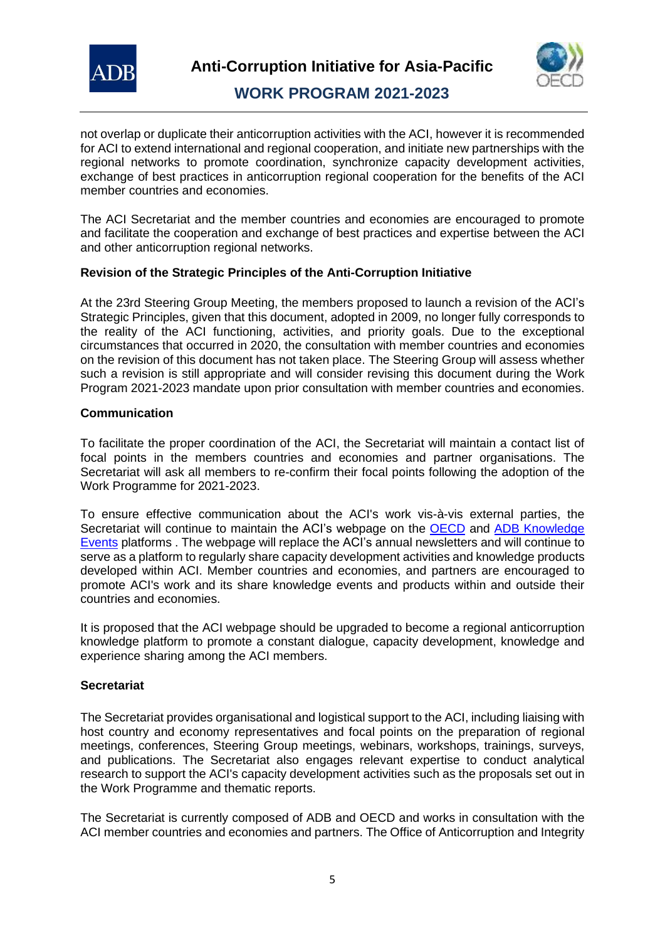



not overlap or duplicate their anticorruption activities with the ACI, however it is recommended for ACI to extend international and regional cooperation, and initiate new partnerships with the regional networks to promote coordination, synchronize capacity development activities, exchange of best practices in anticorruption regional cooperation for the benefits of the ACI member countries and economies.

The ACI Secretariat and the member countries and economies are encouraged to promote and facilitate the cooperation and exchange of best practices and expertise between the ACI and other anticorruption regional networks.

#### **Revision of the Strategic Principles of the Anti-Corruption Initiative**

At the 23rd Steering Group Meeting, the members proposed to launch a revision of the ACI's Strategic Principles, given that this document, adopted in 2009, no longer fully corresponds to the reality of the ACI functioning, activities, and priority goals. Due to the exceptional circumstances that occurred in 2020, the consultation with member countries and economies on the revision of this document has not taken place. The Steering Group will assess whether such a revision is still appropriate and will consider revising this document during the Work Program 2021-2023 mandate upon prior consultation with member countries and economies.

#### **Communication**

To facilitate the proper coordination of the ACI, the Secretariat will maintain a contact list of focal points in the members countries and economies and partner organisations. The Secretariat will ask all members to re-confirm their focal points following the adoption of the Work Programme for 2021-2023.

To ensure effective communication about the ACI's work vis-à-vis external parties, the Secretariat will continue to maintain the ACI's webpage on the **OECD** and ADB Knowledge [Events](https://events.development.asia/learning-events/anti-corruption-initiative-asia-pacific) platforms . The webpage will replace the ACI's annual newsletters and will continue to serve as a platform to regularly share capacity development activities and knowledge products developed within ACI. Member countries and economies, and partners are encouraged to promote ACI's work and its share knowledge events and products within and outside their countries and economies.

It is proposed that the ACI webpage should be upgraded to become a regional anticorruption knowledge platform to promote a constant dialogue, capacity development, knowledge and experience sharing among the ACI members.

#### **Secretariat**

The Secretariat provides organisational and logistical support to the ACI, including liaising with host country and economy representatives and focal points on the preparation of regional meetings, conferences, Steering Group meetings, webinars, workshops, trainings, surveys, and publications. The Secretariat also engages relevant expertise to conduct analytical research to support the ACI's capacity development activities such as the proposals set out in the Work Programme and thematic reports.

The Secretariat is currently composed of ADB and OECD and works in consultation with the ACI member countries and economies and partners. The Office of Anticorruption and Integrity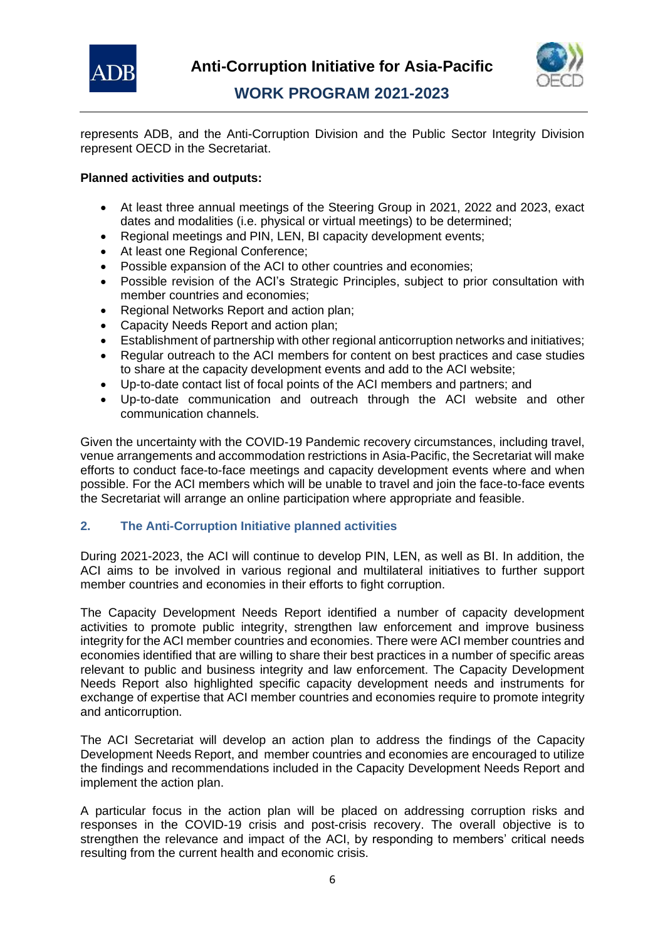



represents ADB, and the Anti-Corruption Division and the Public Sector Integrity Division represent OECD in the Secretariat.

#### **Planned activities and outputs:**

- At least three annual meetings of the Steering Group in 2021, 2022 and 2023, exact dates and modalities (i.e. physical or virtual meetings) to be determined;
- Regional meetings and PIN, LEN, BI capacity development events;
- At least one Regional Conference;
- Possible expansion of the ACI to other countries and economies;
- Possible revision of the ACI's Strategic Principles, subject to prior consultation with member countries and economies;
- Regional Networks Report and action plan;
- Capacity Needs Report and action plan;
- Establishment of partnership with other regional anticorruption networks and initiatives;
- Regular outreach to the ACI members for content on best practices and case studies to share at the capacity development events and add to the ACI website;
- Up-to-date contact list of focal points of the ACI members and partners; and
- Up-to-date communication and outreach through the ACI website and other communication channels.

Given the uncertainty with the COVID-19 Pandemic recovery circumstances, including travel, venue arrangements and accommodation restrictions in Asia-Pacific, the Secretariat will make efforts to conduct face-to-face meetings and capacity development events where and when possible. For the ACI members which will be unable to travel and join the face-to-face events the Secretariat will arrange an online participation where appropriate and feasible.

#### **2. The Anti-Corruption Initiative planned activities**

During 2021-2023, the ACI will continue to develop PIN, LEN, as well as BI. In addition, the ACI aims to be involved in various regional and multilateral initiatives to further support member countries and economies in their efforts to fight corruption.

The Capacity Development Needs Report identified a number of capacity development activities to promote public integrity, strengthen law enforcement and improve business integrity for the ACI member countries and economies. There were ACI member countries and economies identified that are willing to share their best practices in a number of specific areas relevant to public and business integrity and law enforcement. The Capacity Development Needs Report also highlighted specific capacity development needs and instruments for exchange of expertise that ACI member countries and economies require to promote integrity and anticorruption.

The ACI Secretariat will develop an action plan to address the findings of the Capacity Development Needs Report, and member countries and economies are encouraged to utilize the findings and recommendations included in the Capacity Development Needs Report and implement the action plan.

A particular focus in the action plan will be placed on addressing corruption risks and responses in the COVID-19 crisis and post-crisis recovery. The overall objective is to strengthen the relevance and impact of the ACI, by responding to members' critical needs resulting from the current health and economic crisis.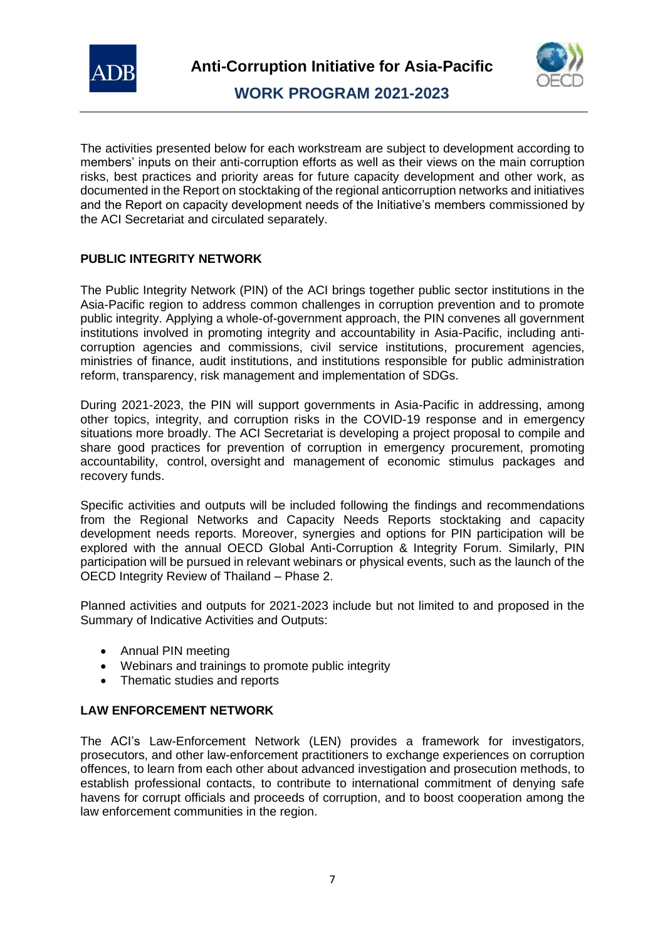



The activities presented below for each workstream are subject to development according to members' inputs on their anti-corruption efforts as well as their views on the main corruption risks, best practices and priority areas for future capacity development and other work, as documented in the Report on stocktaking of the regional anticorruption networks and initiatives and the Report on capacity development needs of the Initiative's members commissioned by the ACI Secretariat and circulated separately.

#### **PUBLIC INTEGRITY NETWORK**

The Public Integrity Network (PIN) of the ACI brings together public sector institutions in the Asia-Pacific region to address common challenges in corruption prevention and to promote public integrity. Applying a whole-of-government approach, the PIN convenes all government institutions involved in promoting integrity and accountability in Asia-Pacific, including anticorruption agencies and commissions, civil service institutions, procurement agencies, ministries of finance, audit institutions, and institutions responsible for public administration reform, transparency, risk management and implementation of SDGs.

During 2021-2023, the PIN will support governments in Asia-Pacific in addressing, among other topics, integrity, and corruption risks in the COVID-19 response and in emergency situations more broadly. The ACI Secretariat is developing a project proposal to compile and share good practices for prevention of corruption in emergency procurement, promoting accountability, control, oversight and management of economic stimulus packages and recovery funds.

Specific activities and outputs will be included following the findings and recommendations from the Regional Networks and Capacity Needs Reports stocktaking and capacity development needs reports. Moreover, synergies and options for PIN participation will be explored with the annual OECD Global Anti-Corruption & Integrity Forum. Similarly, PIN participation will be pursued in relevant webinars or physical events, such as the launch of the OECD Integrity Review of Thailand – Phase 2.

Planned activities and outputs for 2021-2023 include but not limited to and proposed in the Summary of Indicative Activities and Outputs:

- Annual PIN meeting
- Webinars and trainings to promote public integrity
- Thematic studies and reports

#### **LAW ENFORCEMENT NETWORK**

The ACI's Law-Enforcement Network (LEN) provides a framework for investigators, prosecutors, and other law-enforcement practitioners to exchange experiences on corruption offences, to learn from each other about advanced investigation and prosecution methods, to establish professional contacts, to contribute to international commitment of denying safe havens for corrupt officials and proceeds of corruption, and to boost cooperation among the law enforcement communities in the region.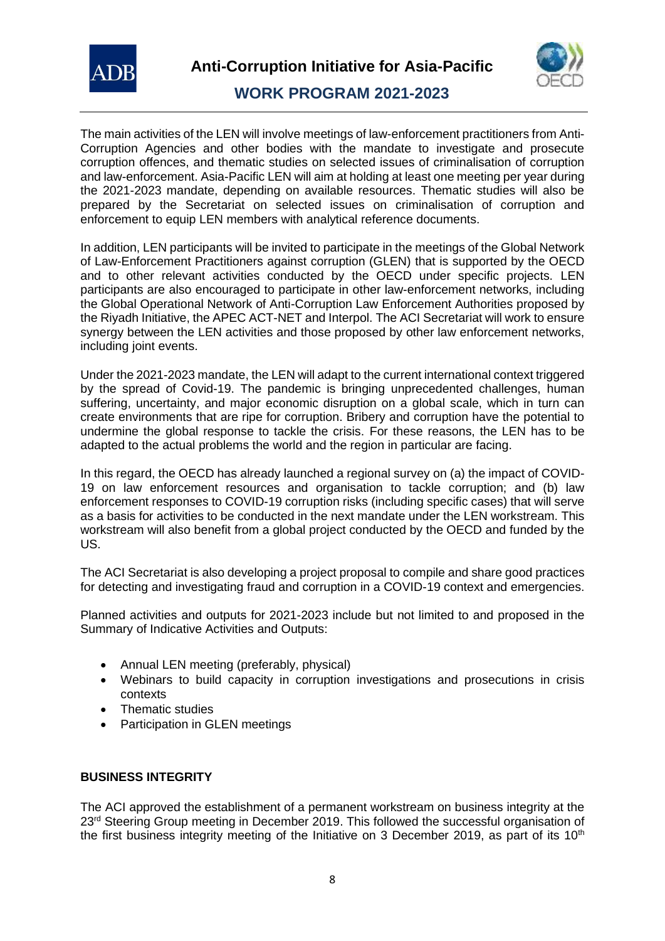



The main activities of the LEN will involve meetings of law-enforcement practitioners from Anti-Corruption Agencies and other bodies with the mandate to investigate and prosecute corruption offences, and thematic studies on selected issues of criminalisation of corruption and law-enforcement. Asia-Pacific LEN will aim at holding at least one meeting per year during the 2021-2023 mandate, depending on available resources. Thematic studies will also be prepared by the Secretariat on selected issues on criminalisation of corruption and enforcement to equip LEN members with analytical reference documents.

In addition, LEN participants will be invited to participate in the meetings of the Global Network of Law-Enforcement Practitioners against corruption (GLEN) that is supported by the OECD and to other relevant activities conducted by the OECD under specific projects. LEN participants are also encouraged to participate in other law-enforcement networks, including the Global Operational Network of Anti-Corruption Law Enforcement Authorities proposed by the Riyadh Initiative, the APEC ACT-NET and Interpol. The ACI Secretariat will work to ensure synergy between the LEN activities and those proposed by other law enforcement networks, including joint events.

Under the 2021-2023 mandate, the LEN will adapt to the current international context triggered by the spread of Covid-19. The pandemic is bringing unprecedented challenges, human suffering, uncertainty, and major economic disruption on a global scale, which in turn can create environments that are ripe for corruption. Bribery and corruption have the potential to undermine the global response to tackle the crisis. For these reasons, the LEN has to be adapted to the actual problems the world and the region in particular are facing.

In this regard, the OECD has already launched a regional survey on (a) the impact of COVID-19 on law enforcement resources and organisation to tackle corruption; and (b) law enforcement responses to COVID-19 corruption risks (including specific cases) that will serve as a basis for activities to be conducted in the next mandate under the LEN workstream. This workstream will also benefit from a global project conducted by the OECD and funded by the US.

The ACI Secretariat is also developing a project proposal to compile and share good practices for detecting and investigating fraud and corruption in a COVID-19 context and emergencies.

Planned activities and outputs for 2021-2023 include but not limited to and proposed in the Summary of Indicative Activities and Outputs:

- Annual LEN meeting (preferably, physical)
- Webinars to build capacity in corruption investigations and prosecutions in crisis contexts
- Thematic studies
- Participation in GLEN meetings

#### **BUSINESS INTEGRITY**

The ACI approved the establishment of a permanent workstream on business integrity at the 23<sup>rd</sup> Steering Group meeting in December 2019. This followed the successful organisation of the first business integrity meeting of the Initiative on 3 December 2019, as part of its  $10<sup>th</sup>$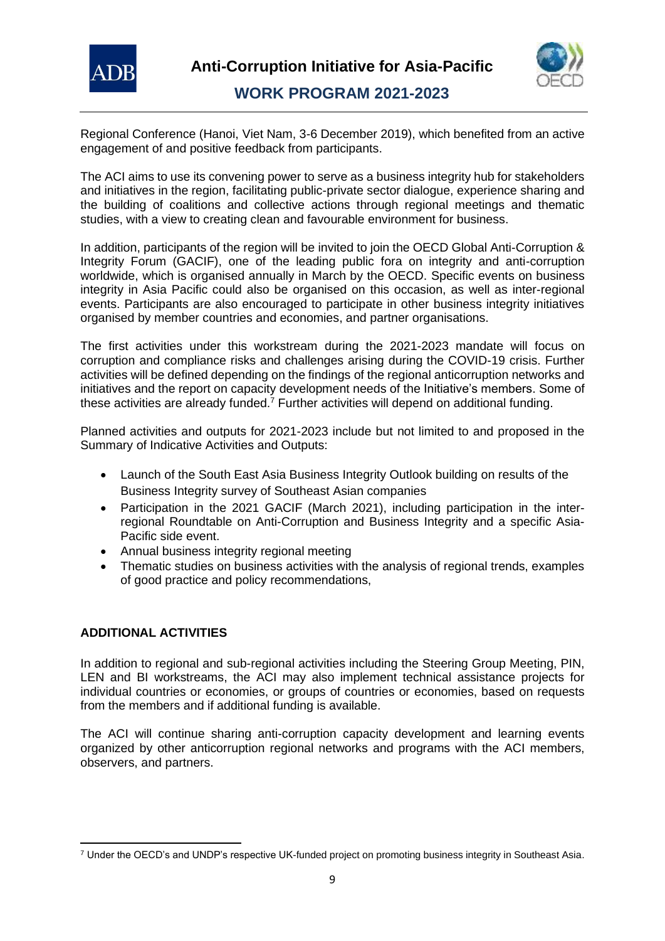



Regional Conference (Hanoi, Viet Nam, 3-6 December 2019), which benefited from an active engagement of and positive feedback from participants.

The ACI aims to use its convening power to serve as a business integrity hub for stakeholders and initiatives in the region, facilitating public-private sector dialogue, experience sharing and the building of coalitions and collective actions through regional meetings and thematic studies, with a view to creating clean and favourable environment for business.

In addition, participants of the region will be invited to join the OECD Global Anti-Corruption & Integrity Forum (GACIF), one of the leading public fora on integrity and anti-corruption worldwide, which is organised annually in March by the OECD. Specific events on business integrity in Asia Pacific could also be organised on this occasion, as well as inter-regional events. Participants are also encouraged to participate in other business integrity initiatives organised by member countries and economies, and partner organisations.

The first activities under this workstream during the 2021-2023 mandate will focus on corruption and compliance risks and challenges arising during the COVID-19 crisis. Further activities will be defined depending on the findings of the regional anticorruption networks and initiatives and the report on capacity development needs of the Initiative's members. Some of these activities are already funded.<sup>7</sup> Further activities will depend on additional funding.

Planned activities and outputs for 2021-2023 include but not limited to and proposed in the Summary of Indicative Activities and Outputs:

- Launch of the South East Asia Business Integrity Outlook building on results of the Business Integrity survey of Southeast Asian companies
- Participation in the 2021 GACIF (March 2021), including participation in the interregional Roundtable on Anti-Corruption and Business Integrity and a specific Asia-Pacific side event.
- Annual business integrity regional meeting
- Thematic studies on business activities with the analysis of regional trends, examples of good practice and policy recommendations,

#### **ADDITIONAL ACTIVITIES**

In addition to regional and sub-regional activities including the Steering Group Meeting, PIN, LEN and BI workstreams, the ACI may also implement technical assistance projects for individual countries or economies, or groups of countries or economies, based on requests from the members and if additional funding is available.

The ACI will continue sharing anti-corruption capacity development and learning events organized by other anticorruption regional networks and programs with the ACI members, observers, and partners.

<sup>7</sup> Under the OECD's and UNDP's respective UK-funded project on promoting business integrity in Southeast Asia.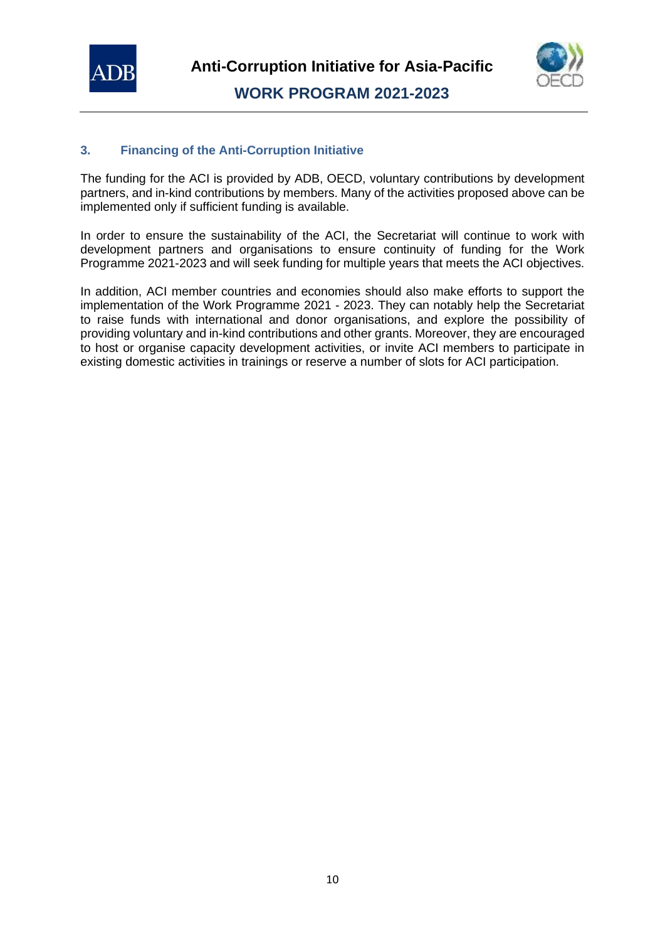



#### **3. Financing of the Anti-Corruption Initiative**

The funding for the ACI is provided by ADB, OECD, voluntary contributions by development partners, and in-kind contributions by members. Many of the activities proposed above can be implemented only if sufficient funding is available.

In order to ensure the sustainability of the ACI, the Secretariat will continue to work with development partners and organisations to ensure continuity of funding for the Work Programme 2021-2023 and will seek funding for multiple years that meets the ACI objectives.

In addition, ACI member countries and economies should also make efforts to support the implementation of the Work Programme 2021 - 2023. They can notably help the Secretariat to raise funds with international and donor organisations, and explore the possibility of providing voluntary and in-kind contributions and other grants. Moreover, they are encouraged to host or organise capacity development activities, or invite ACI members to participate in existing domestic activities in trainings or reserve a number of slots for ACI participation.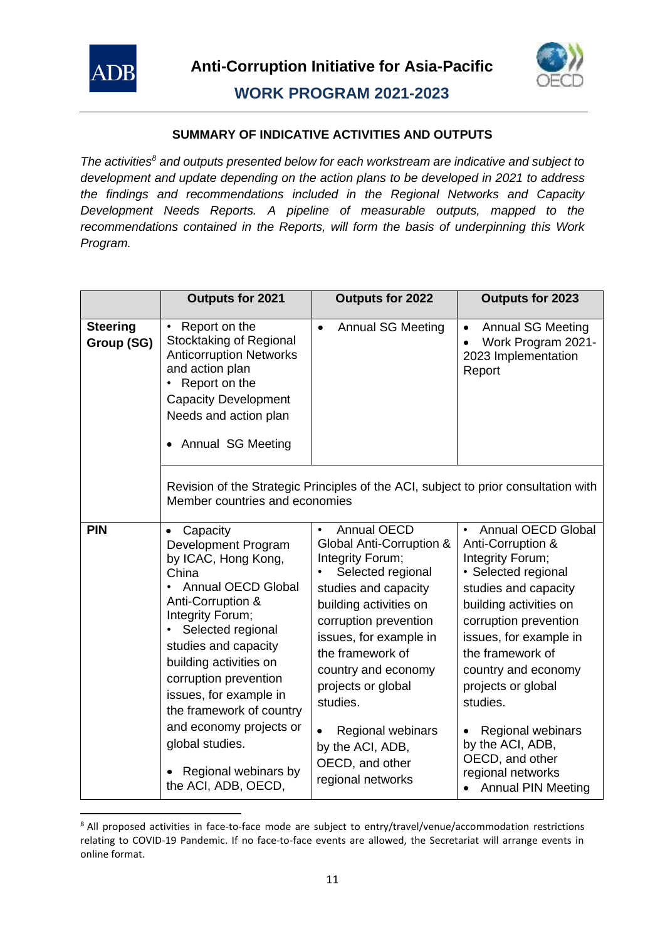



#### **SUMMARY OF INDICATIVE ACTIVITIES AND OUTPUTS**

*The activities<sup>8</sup> and outputs presented below for each workstream are indicative and subject to development and update depending on the action plans to be developed in 2021 to address the findings and recommendations included in the Regional Networks and Capacity Development Needs Reports. A pipeline of measurable outputs, mapped to the recommendations contained in the Reports, will form the basis of underpinning this Work Program.* 

|                               | Outputs for 2021                                                                                                                                                                                                                                                                                                                                                                         | <b>Outputs for 2022</b>                                                                                                                                                                                                                                                                                                                                                 | Outputs for 2023                                                                                                                                                                                                                                                                                                                                                                          |
|-------------------------------|------------------------------------------------------------------------------------------------------------------------------------------------------------------------------------------------------------------------------------------------------------------------------------------------------------------------------------------------------------------------------------------|-------------------------------------------------------------------------------------------------------------------------------------------------------------------------------------------------------------------------------------------------------------------------------------------------------------------------------------------------------------------------|-------------------------------------------------------------------------------------------------------------------------------------------------------------------------------------------------------------------------------------------------------------------------------------------------------------------------------------------------------------------------------------------|
| <b>Steering</b><br>Group (SG) | Report on the<br>$\bullet$<br>Stocktaking of Regional<br><b>Anticorruption Networks</b><br>and action plan<br>Report on the<br><b>Capacity Development</b><br>Needs and action plan<br>Annual SG Meeting                                                                                                                                                                                 | <b>Annual SG Meeting</b><br>$\bullet$                                                                                                                                                                                                                                                                                                                                   | <b>Annual SG Meeting</b><br>$\bullet$<br>Work Program 2021-<br>2023 Implementation<br>Report                                                                                                                                                                                                                                                                                              |
|                               | Member countries and economies                                                                                                                                                                                                                                                                                                                                                           | Revision of the Strategic Principles of the ACI, subject to prior consultation with                                                                                                                                                                                                                                                                                     |                                                                                                                                                                                                                                                                                                                                                                                           |
| <b>PIN</b>                    | Capacity<br>Development Program<br>by ICAC, Hong Kong,<br>China<br><b>Annual OECD Global</b><br>Anti-Corruption &<br>Integrity Forum;<br>Selected regional<br>studies and capacity<br>building activities on<br>corruption prevention<br>issues, for example in<br>the framework of country<br>and economy projects or<br>global studies.<br>Regional webinars by<br>the ACI, ADB, OECD, | <b>Annual OECD</b><br>$\bullet$<br>Global Anti-Corruption &<br>Integrity Forum;<br>Selected regional<br>studies and capacity<br>building activities on<br>corruption prevention<br>issues, for example in<br>the framework of<br>country and economy<br>projects or global<br>studies.<br>Regional webinars<br>by the ACI, ADB,<br>OECD, and other<br>regional networks | <b>Annual OECD Global</b><br>Anti-Corruption &<br>Integrity Forum;<br>· Selected regional<br>studies and capacity<br>building activities on<br>corruption prevention<br>issues, for example in<br>the framework of<br>country and economy<br>projects or global<br>studies.<br>Regional webinars<br>by the ACI, ADB,<br>OECD, and other<br>regional networks<br><b>Annual PIN Meeting</b> |

<sup>&</sup>lt;sup>8</sup> All proposed activities in face-to-face mode are subject to entry/travel/venue/accommodation restrictions relating to COVID-19 Pandemic. If no face-to-face events are allowed, the Secretariat will arrange events in online format.